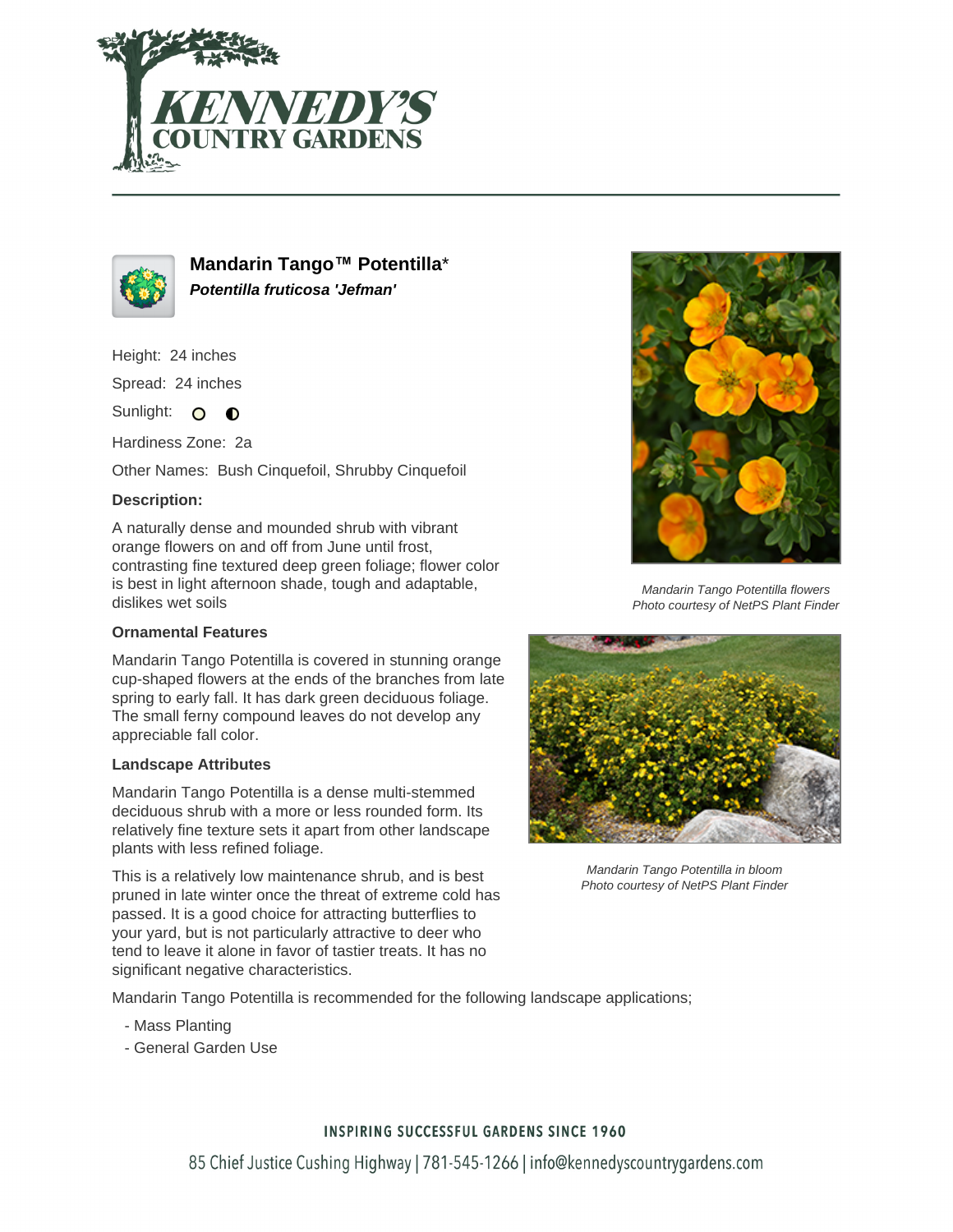



**Mandarin Tango™ Potentilla**\* **Potentilla fruticosa 'Jefman'**

Height: 24 inches

Spread: 24 inches

Sunlight: O **O** 

Hardiness Zone: 2a

Other Names: Bush Cinquefoil, Shrubby Cinquefoil

# **Description:**

A naturally dense and mounded shrub with vibrant orange flowers on and off from June until frost, contrasting fine textured deep green foliage; flower color is best in light afternoon shade, tough and adaptable, dislikes wet soils

### **Ornamental Features**

Mandarin Tango Potentilla is covered in stunning orange cup-shaped flowers at the ends of the branches from late spring to early fall. It has dark green deciduous foliage. The small ferny compound leaves do not develop any appreciable fall color.

#### **Landscape Attributes**

Mandarin Tango Potentilla is a dense multi-stemmed deciduous shrub with a more or less rounded form. Its relatively fine texture sets it apart from other landscape plants with less refined foliage.

This is a relatively low maintenance shrub, and is best pruned in late winter once the threat of extreme cold has passed. It is a good choice for attracting butterflies to your yard, but is not particularly attractive to deer who tend to leave it alone in favor of tastier treats. It has no significant negative characteristics.

Mandarin Tango Potentilla flowers Photo courtesy of NetPS Plant Finder



Mandarin Tango Potentilla in bloom Photo courtesy of NetPS Plant Finder

Mandarin Tango Potentilla is recommended for the following landscape applications;

- Mass Planting
- General Garden Use

# **INSPIRING SUCCESSFUL GARDENS SINCE 1960**

85 Chief Justice Cushing Highway | 781-545-1266 | info@kennedyscountrygardens.com